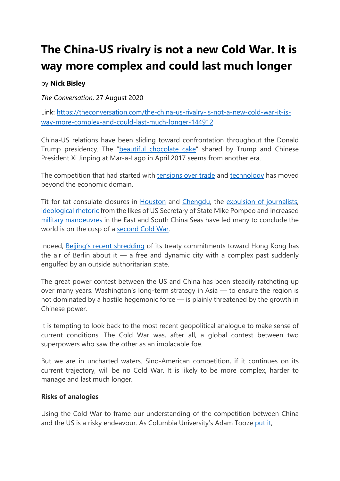# **The China-US rivalry is not a new Cold War. It is way more complex and could last much longer**

## by **Nick Bisley**

*The Conversation*, 27 August 2020

Link: [https://theconversation.com/the-china-us-rivalry-is-not-a-new-cold-war-it-is](https://theconversation.com/the-china-us-rivalry-is-not-a-new-cold-war-it-is-way-more-complex-and-could-last-much-longer-144912)[way-more-complex-and-could-last-much-longer-144912](https://theconversation.com/the-china-us-rivalry-is-not-a-new-cold-war-it-is-way-more-complex-and-could-last-much-longer-144912)

China-US relations have been sliding toward confrontation throughout the Donald Trump presidency. The ["beautiful chocolate cake"](https://www.nbcnews.com/news/world/donald-trump-shares-chocolate-cake-great-chemistry-china-s-xi-n745931) shared by Trump and Chinese President Xi Jinping at Mar-a-Lago in April 2017 seems from another era.

The competition that had started with [tensions over trade](https://www.piie.com/blogs/trade-investment-policy-watch/trump-trade-war-china-date-guide) and [technology](https://www.vox.com/technology/2018/12/11/18134440/huawei-executive-order-entity-list-china-trump) has moved beyond the economic domain.

Tit-for-tat consulate closures in [Houston](https://www.bbc.com/news/world-us-canada-53497193) and [Chengdu,](https://www.theguardian.com/world/2020/jul/27/crowds-wave-chinese-flags-and-take-selfies-as-us-consulate-closes-in-chengdu) the [expulsion of journalists,](https://www.ft.com/content/d689c498-6875-11ea-800d-da70cff6e4d3) [ideological rhetoric](https://www.state.gov/communist-china-and-the-free-worlds-future/) from the likes of US Secretary of State Mike Pompeo and increased [military manoeuvres](https://edition.cnn.com/2020/07/17/asia/us-navy-aircraft-carriers-south-china-sea-intl-hnk-scli/index.html) in the East and South China Seas have led many to conclude the world is on the cusp of a [second Cold War.](https://www.nytimes.com/2020/07/22/world/asia/us-china-cold-war.html)

Indeed, [Beijing's recent shredding](https://www.theguardian.com/world/2020/jul/01/hong-kongs-security-laws-usher-in-new-era-of-chinese-control) of its treaty commitments toward Hong Kong has the air of Berlin about it  $-$  a free and dynamic city with a complex past suddenly engulfed by an outside authoritarian state.

The great power contest between the US and China has been steadily ratcheting up over many years. Washington's long-term strategy in Asia — to ensure the region is not dominated by a hostile hegemonic force — is plainly threatened by the growth in Chinese power.

It is tempting to look back to the most recent geopolitical analogue to make sense of current conditions. The Cold War was, after all, a global contest between two superpowers who saw the other as an implacable foe.

But we are in uncharted waters. Sino-American competition, if it continues on its current trajectory, will be no Cold War. It is likely to be more complex, harder to manage and last much longer.

#### **Risks of analogies**

Using the Cold War to frame our understanding of the competition between China and the US is a risky endeavour. As Columbia University's Adam Tooze [put it,](https://lrb.co.uk/the-paper/v42/n15/adam-tooze/whose-century)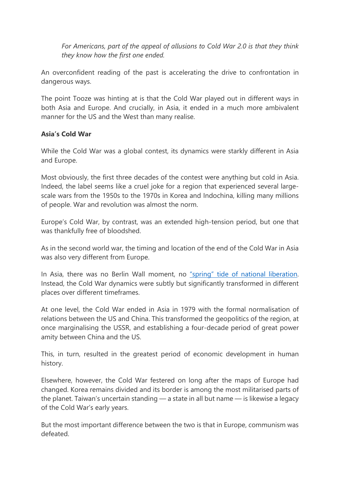*For Americans, part of the appeal of allusions to Cold War 2.0 is that they think they know how the first one ended.*

An overconfident reading of the past is accelerating the drive to confrontation in dangerous ways.

The point Tooze was hinting at is that the Cold War played out in different ways in both Asia and Europe. And crucially, in Asia, it ended in a much more ambivalent manner for the US and the West than many realise.

#### **Asia's Cold War**

While the Cold War was a global contest, its dynamics were starkly different in Asia and Europe.

Most obviously, the first three decades of the contest were anything but cold in Asia. Indeed, the label seems like a cruel joke for a region that experienced several largescale wars from the 1950s to the 1970s in Korea and Indochina, killing many millions of people. War and revolution was almost the norm.

Europe's Cold War, by contrast, was an extended high-tension period, but one that was thankfully free of bloodshed.

As in the second world war, the timing and location of the end of the Cold War in Asia was also very different from Europe.

In Asia, there was no Berlin Wall moment, no ["spring" tide of national liberation.](https://www.history.com/this-day-in-history/prague-spring-begins-in-czechoslovakia) Instead, the Cold War dynamics were subtly but significantly transformed in different places over different timeframes.

At one level, the Cold War ended in Asia in 1979 with the formal normalisation of relations between the US and China. This transformed the geopolitics of the region, at once marginalising the USSR, and establishing a four-decade period of great power amity between China and the US.

This, in turn, resulted in the greatest period of economic development in human history.

Elsewhere, however, the Cold War festered on long after the maps of Europe had changed. Korea remains divided and its border is among the most militarised parts of the planet. Taiwan's uncertain standing — a state in all but name — is likewise a legacy of the Cold War's early years.

But the most important difference between the two is that in Europe, communism was defeated.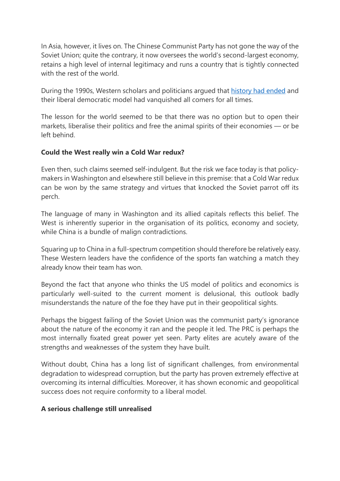In Asia, however, it lives on. The Chinese Communist Party has not gone the way of the Soviet Union; quite the contrary, it now oversees the world's second-largest economy, retains a high level of internal legitimacy and runs a country that is tightly connected with the rest of the world.

During the 1990s, Western scholars and politicians argued that [history had ended](https://www.jstor.org/stable/24027184?seq=1) and their liberal democratic model had vanquished all comers for all times.

The lesson for the world seemed to be that there was no option but to open their markets, liberalise their politics and free the animal spirits of their economies — or be left behind.

### **Could the West really win a Cold War redux?**

Even then, such claims seemed self-indulgent. But the risk we face today is that policymakers in Washington and elsewhere still believe in this premise: that a Cold War redux can be won by the same strategy and virtues that knocked the Soviet parrot off its perch.

The language of many in Washington and its allied capitals reflects this belief. The West is inherently superior in the organisation of its politics, economy and society, while China is a bundle of malign contradictions.

Squaring up to China in a full-spectrum competition should therefore be relatively easy. These Western leaders have the confidence of the sports fan watching a match they already know their team has won.

Beyond the fact that anyone who thinks the US model of politics and economics is particularly well-suited to the current moment is delusional, this outlook badly misunderstands the nature of the foe they have put in their geopolitical sights.

Perhaps the biggest failing of the Soviet Union was the communist party's ignorance about the nature of the economy it ran and the people it led. The PRC is perhaps the most internally fixated great power yet seen. Party elites are acutely aware of the strengths and weaknesses of the system they have built.

Without doubt, China has a long list of significant challenges, from environmental degradation to widespread corruption, but the party has proven extremely effective at overcoming its internal difficulties. Moreover, it has shown economic and geopolitical success does not require conformity to a liberal model.

#### **A serious challenge still unrealised**